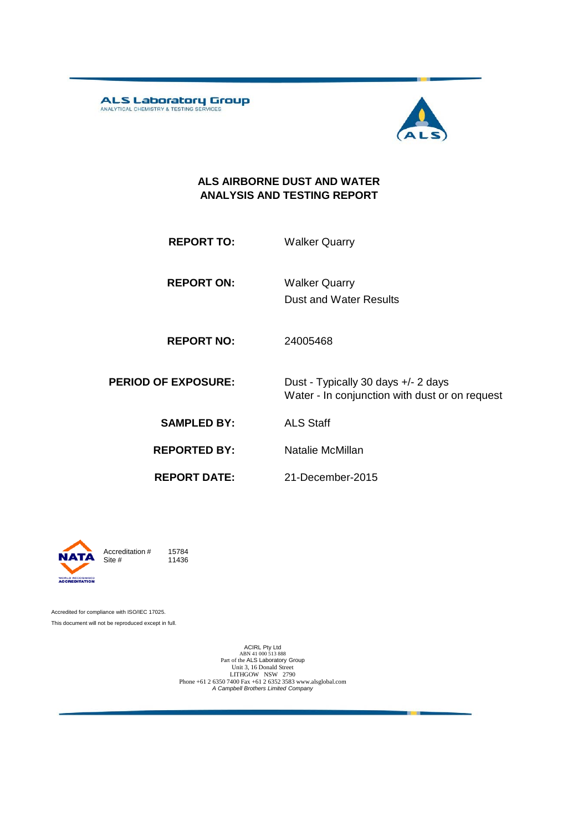ALS Laboratory Group



#### **ALS AIRBORNE DUST AND WATER ANALYSIS AND TESTING REPORT**

**REPORT TO:** Walker Quarry

**REPORT ON:** Dust and Water Results Walker Quarry

**REPORT NO:** 24005468

**PERIOD OF EXPOSURE:** Dust - Typically 30 days +/- 2 days Water - In conjunction with dust or on request

21-December-2015

**SAMPLED BY:** ALS Staff

**REPORTED BY:** Natalie McMillan

**REPORT DATE:**

**WORLD RECOGNISED**<br>**ACCREDITATION** 

Accreditation  $\#$  15784<br>Site  $\#$  11436 11436

Accredited for compliance with ISO/IEC 17025. This document will not be reproduced except in full.

> ACIRL Pty Ltd<br>ABN 41 000 513 888<br>Part of the ALS Laboratory Group Unit 3, 16 Donald Street LITHGOW NSW 2790 Phone +61 2 6350 7400 Fax +61 2 6352 3583 www.alsglobal.com *A Campbell Brothers Limited Company*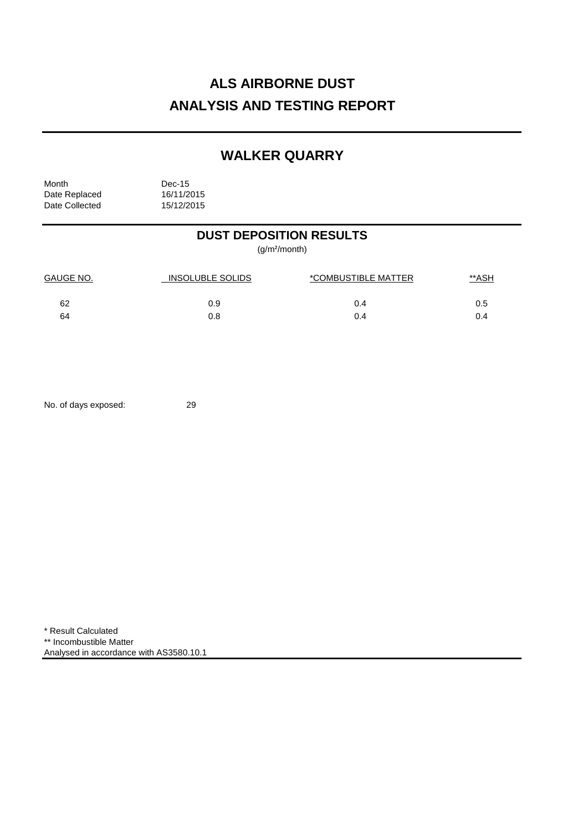# **ALS AIRBORNE DUST ANALYSIS AND TESTING REPORT**

## **WALKER QUARRY**

Month Dec-15<br>Date Replaced 16/11/2015 Date Replaced 16/11/2015<br>Date Collected 15/12/2015 Date Collected

## **DUST DEPOSITION RESULTS**

(g/m²/month)

| <b>GAUGE NO.</b> | <b>INSOLUBLE SOLIDS</b> | *COMBUSTIBLE MATTER | <u>**ASH</u> |
|------------------|-------------------------|---------------------|--------------|
| 62               | 0.9                     | 0.4                 | 0.5          |
| 64               | 0.8                     | 0.4                 |              |

No. of days exposed: 29

\* Result Calculated \*\* Incombustible Matter Analysed in accordance with AS3580.10.1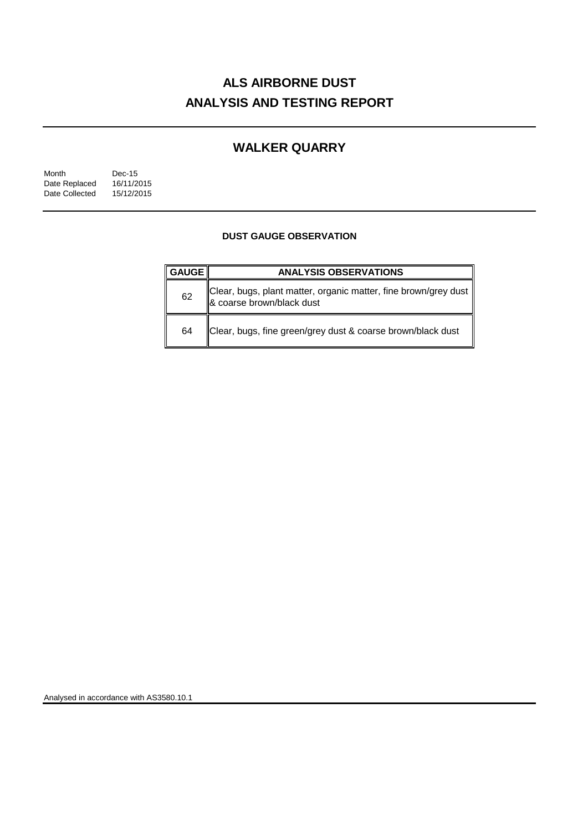# **ALS AIRBORNE DUST ANALYSIS AND TESTING REPORT**

## **WALKER QUARRY**

| Month          | Dec-15     |  |
|----------------|------------|--|
| Date Replaced  | 16/11/2015 |  |
| Date Collected | 15/12/2015 |  |

### **DUST GAUGE OBSERVATION**

| <b>GAUGE</b> | <b>ANALYSIS OBSERVATIONS</b>                                                                 |  |  |
|--------------|----------------------------------------------------------------------------------------------|--|--|
| 62           | Clear, bugs, plant matter, organic matter, fine brown/grey dust<br>& coarse brown/black dust |  |  |
| 64           | Clear, bugs, fine green/grey dust & coarse brown/black dust                                  |  |  |

Analysed in accordance with AS3580.10.1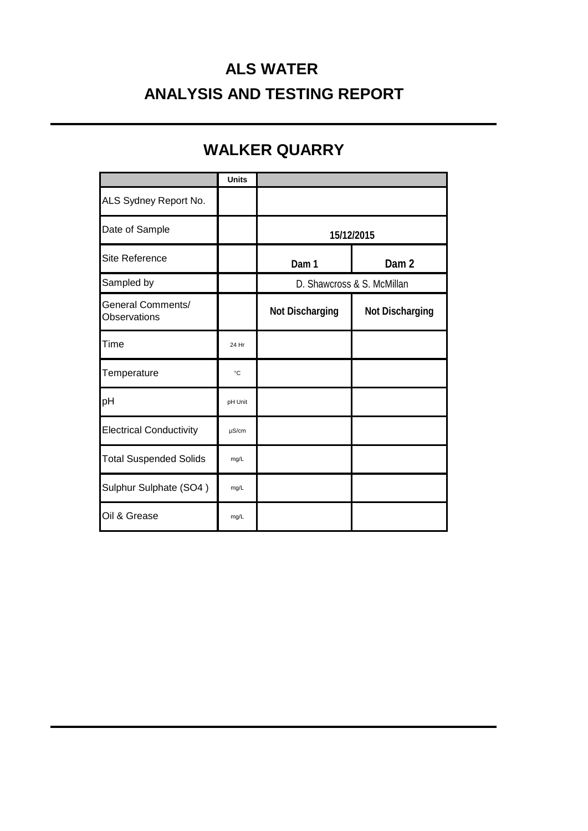# **ALS WATER ANALYSIS AND TESTING REPORT**

## **WALKER QUARRY**

|                                          | <b>Units</b> |                            |                  |
|------------------------------------------|--------------|----------------------------|------------------|
| ALS Sydney Report No.                    |              |                            |                  |
| Date of Sample                           |              | 15/12/2015                 |                  |
| Site Reference                           |              | Dam 1                      | Dam <sub>2</sub> |
| Sampled by                               |              | D. Shawcross & S. McMillan |                  |
| <b>General Comments/</b><br>Observations |              | <b>Not Discharging</b>     | Not Discharging  |
| Time                                     | 24 Hr        |                            |                  |
| Temperature                              | °C           |                            |                  |
| pH                                       | pH Unit      |                            |                  |
| <b>Electrical Conductivity</b>           | $\mu$ S/cm   |                            |                  |
| <b>Total Suspended Solids</b>            | mg/L         |                            |                  |
| Sulphur Sulphate (SO4)                   | mg/L         |                            |                  |
| Oil & Grease                             | mg/L         |                            |                  |